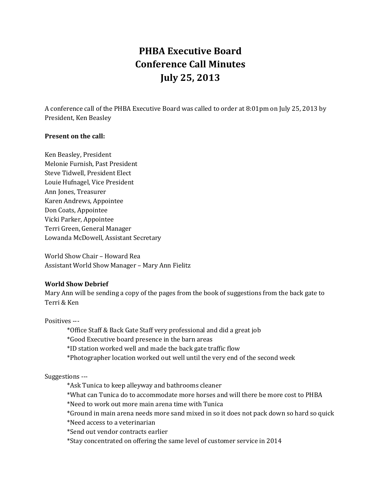# **PHBA Executive Board Conference Call Minutes July 25, 2013**

A conference call of the PHBA Executive Board was called to order at 8:01pm on July 25, 2013 by President, Ken Beasley

## **Present on the call:**

Ken Beasley, President Melonie Furnish, Past President Steve Tidwell, President Elect Louie Hufnagel, Vice President Ann Jones, Treasurer Karen Andrews, Appointee Don Coats, Appointee Vicki Parker, Appointee Terri Green, General Manager Lowanda McDowell, Assistant Secretary

World Show Chair – Howard Rea Assistant World Show Manager – Mary Ann Fielitz

## **World Show Debrief**

Mary Ann will be sending a copy of the pages from the book of suggestions from the back gate to Terri & Ken

Positives ---

\*Office Staff & Back Gate Staff very professional and did a great job

\*Good Executive board presence in the barn areas

\*ID station worked well and made the back gate traffic flow

\*Photographer location worked out well until the very end of the second week

Suggestions ---

\*Ask Tunica to keep alleyway and bathrooms cleaner

\*What can Tunica do to accommodate more horses and will there be more cost to PHBA

\*Need to work out more main arena time with Tunica

\*Ground in main arena needs more sand mixed in so it does not pack down so hard so quick

\*Need access to a veterinarian

\*Send out vendor contracts earlier

\*Stay concentrated on offering the same level of customer service in 2014